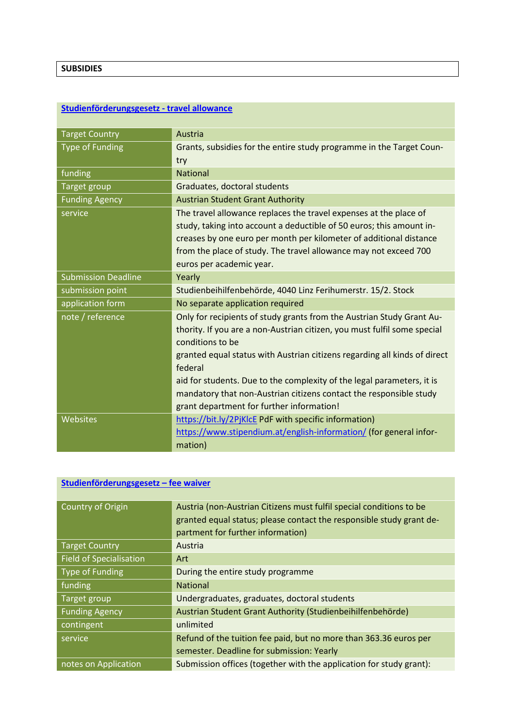### **SUBSIDIES**

## **[Studienförderungsgesetz -](https://grants.at/en/?=MjAwMjdfMjExNTVfMjU=) travel allowance**

| <b>Target Country</b>      | Austria                                                                                      |
|----------------------------|----------------------------------------------------------------------------------------------|
| <b>Type of Funding</b>     | Grants, subsidies for the entire study programme in the Target Coun-                         |
|                            | try                                                                                          |
| funding                    | <b>National</b>                                                                              |
| Target group               | Graduates, doctoral students                                                                 |
| <b>Funding Agency</b>      | <b>Austrian Student Grant Authority</b>                                                      |
| service                    | The travel allowance replaces the travel expenses at the place of                            |
|                            | study, taking into account a deductible of 50 euros; this amount in-                         |
|                            | creases by one euro per month per kilometer of additional distance                           |
|                            | from the place of study. The travel allowance may not exceed 700                             |
|                            | euros per academic year.                                                                     |
| <b>Submission Deadline</b> | Yearly                                                                                       |
| submission point           | Studienbeihilfenbehörde, 4040 Linz Ferihumerstr. 15/2. Stock                                 |
| application form           | No separate application required                                                             |
| note / reference           | Only for recipients of study grants from the Austrian Study Grant Au-                        |
|                            | thority. If you are a non-Austrian citizen, you must fulfil some special<br>conditions to be |
|                            | granted equal status with Austrian citizens regarding all kinds of direct                    |
|                            | federal                                                                                      |
|                            | aid for students. Due to the complexity of the legal parameters, it is                       |
|                            | mandatory that non-Austrian citizens contact the responsible study                           |
|                            | grant department for further information!                                                    |
| Websites                   | https://bit.ly/2PjKlcE PdF with specific information)                                        |
|                            | https://www.stipendium.at/english-information/ (for general infor-                           |
|                            | mation)                                                                                      |

## **[Studienförderungsgesetz –](https://grants.at/en/?=MjAwMjZfMjExNTRfMjY=) fee waiver**

| Country of Origin              | Austria (non-Austrian Citizens must fulfil special conditions to be<br>granted equal status; please contact the responsible study grant de-<br>partment for further information) |
|--------------------------------|----------------------------------------------------------------------------------------------------------------------------------------------------------------------------------|
| <b>Target Country</b>          | Austria                                                                                                                                                                          |
| <b>Field of Specialisation</b> | Art                                                                                                                                                                              |
| <b>Type of Funding</b>         | During the entire study programme                                                                                                                                                |
| funding                        | <b>National</b>                                                                                                                                                                  |
| Target group                   | Undergraduates, graduates, doctoral students                                                                                                                                     |
| <b>Funding Agency</b>          | Austrian Student Grant Authority (Studienbeihilfenbehörde)                                                                                                                       |
| contingent                     | unlimited                                                                                                                                                                        |
| service                        | Refund of the tuition fee paid, but no more than 363.36 euros per                                                                                                                |
|                                | semester. Deadline for submission: Yearly                                                                                                                                        |
| notes on Application           | Submission offices (together with the application for study grant):                                                                                                              |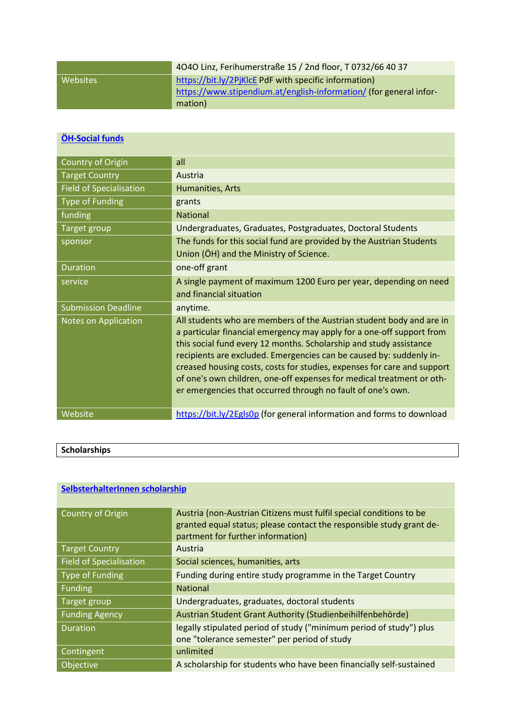|          | 4040 Linz, Ferihumerstraße 15 / 2nd floor, T 0732/66 40 37         |
|----------|--------------------------------------------------------------------|
| Websites | https://bit.ly/2PjKlcE PdF with specific information)              |
|          | https://www.stipendium.at/english-information/ (for general infor- |
|          | mation)                                                            |

## **[ÖH-Social funds](https://grants.at/en/?=MTk2NTZfMjA3NzNfNTA=)**

| Country of Origin              | all                                                                                                                                                                                                                                                                                                                                                                                                                                                                                                           |
|--------------------------------|---------------------------------------------------------------------------------------------------------------------------------------------------------------------------------------------------------------------------------------------------------------------------------------------------------------------------------------------------------------------------------------------------------------------------------------------------------------------------------------------------------------|
| <b>Target Country</b>          | Austria                                                                                                                                                                                                                                                                                                                                                                                                                                                                                                       |
| <b>Field of Specialisation</b> | Humanities, Arts                                                                                                                                                                                                                                                                                                                                                                                                                                                                                              |
| <b>Type of Funding</b>         | grants                                                                                                                                                                                                                                                                                                                                                                                                                                                                                                        |
| funding                        | <b>National</b>                                                                                                                                                                                                                                                                                                                                                                                                                                                                                               |
| <b>Target group</b>            | Undergraduates, Graduates, Postgraduates, Doctoral Students                                                                                                                                                                                                                                                                                                                                                                                                                                                   |
| sponsor                        | The funds for this social fund are provided by the Austrian Students                                                                                                                                                                                                                                                                                                                                                                                                                                          |
|                                | Union (OH) and the Ministry of Science.                                                                                                                                                                                                                                                                                                                                                                                                                                                                       |
| <b>Duration</b>                | one-off grant                                                                                                                                                                                                                                                                                                                                                                                                                                                                                                 |
| service                        | A single payment of maximum 1200 Euro per year, depending on need                                                                                                                                                                                                                                                                                                                                                                                                                                             |
|                                | and financial situation                                                                                                                                                                                                                                                                                                                                                                                                                                                                                       |
| <b>Submission Deadline</b>     | anytime.                                                                                                                                                                                                                                                                                                                                                                                                                                                                                                      |
| Notes on Application           | All students who are members of the Austrian student body and are in<br>a particular financial emergency may apply for a one-off support from<br>this social fund every 12 months. Scholarship and study assistance<br>recipients are excluded. Emergencies can be caused by: suddenly in-<br>creased housing costs, costs for studies, expenses for care and support<br>of one's own children, one-off expenses for medical treatment or oth-<br>er emergencies that occurred through no fault of one's own. |
| Website                        | https://bit.ly/2Egls0p (for general information and forms to download                                                                                                                                                                                                                                                                                                                                                                                                                                         |

| Scholarships |  |  |
|--------------|--|--|

## **[SelbsterhalterInnen](https://formulare.aforms2web.com/stbh_formserver/start.do;jsessionid=58D3551BB7921DD78281A6457B6D4970?wfjs_enabled=true&wfjs_orig_req=%2Fstart.do%3Fgeneralid%3D7hk43ver&vid=31af438769f71e9f&wfjs_orig_req=%2Fstart.do%3Fgeneralid%3D7hk43ver&vid=31af438769f71e9f) scholarship**

| Country of Origin              | Austria (non-Austrian Citizens must fulfil special conditions to be<br>granted equal status; please contact the responsible study grant de-<br>partment for further information) |
|--------------------------------|----------------------------------------------------------------------------------------------------------------------------------------------------------------------------------|
| <b>Target Country</b>          | Austria                                                                                                                                                                          |
| <b>Field of Specialisation</b> | Social sciences, humanities, arts                                                                                                                                                |
| <b>Type of Funding</b>         | Funding during entire study programme in the Target Country                                                                                                                      |
| <b>Funding</b>                 | <b>National</b>                                                                                                                                                                  |
| Target group                   | Undergraduates, graduates, doctoral students                                                                                                                                     |
| <b>Funding Agency</b>          | Austrian Student Grant Authority (Studienbeihilfenbehörde)                                                                                                                       |
| <b>Duration</b>                | legally stipulated period of study ("minimum period of study") plus<br>one "tolerance semester" per period of study                                                              |
| Contingent                     | unlimited                                                                                                                                                                        |
| <b>Objective</b>               | A scholarship for students who have been financially self-sustained                                                                                                              |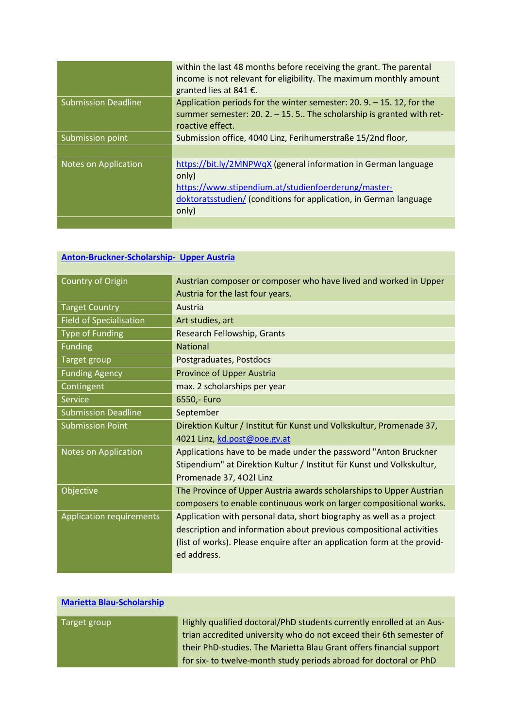|                            | within the last 48 months before receiving the grant. The parental<br>income is not relevant for eligibility. The maximum monthly amount<br>granted lies at 841 €.                                           |
|----------------------------|--------------------------------------------------------------------------------------------------------------------------------------------------------------------------------------------------------------|
| <b>Submission Deadline</b> | Application periods for the winter semester: $20.9 - 15.12$ , for the<br>summer semester: 20. $2. - 15.5$ . The scholarship is granted with ret-<br>roactive effect.                                         |
| Submission point           | Submission office, 4040 Linz, Ferihumerstraße 15/2nd floor,                                                                                                                                                  |
|                            |                                                                                                                                                                                                              |
| Notes on Application       | https://bit.ly/2MNPWqX (general information in German language<br>only)<br>https://www.stipendium.at/studienfoerderung/master-<br>doktoratsstudien/ (conditions for application, in German language<br>only) |
|                            |                                                                                                                                                                                                              |

# **[Anton-Bruckner-Scholarship-](https://grants.at/en/?=MjM3MDlfMjUwMTVfMjk=) Upper Austria**

| Country of Origin               | Austrian composer or composer who have lived and worked in Upper         |
|---------------------------------|--------------------------------------------------------------------------|
|                                 | Austria for the last four years.                                         |
| <b>Target Country</b>           | Austria                                                                  |
| <b>Field of Specialisation</b>  | Art studies, art                                                         |
| <b>Type of Funding</b>          | Research Fellowship, Grants                                              |
| <b>Funding</b>                  | <b>National</b>                                                          |
| Target group                    | Postgraduates, Postdocs                                                  |
| <b>Funding Agency</b>           | Province of Upper Austria                                                |
| Contingent                      | max. 2 scholarships per year                                             |
| Service                         | 6550,- Euro                                                              |
| <b>Submission Deadline</b>      | September                                                                |
| <b>Submission Point</b>         | Direktion Kultur / Institut für Kunst und Volkskultur, Promenade 37,     |
|                                 | 4021 Linz, kd.post@ooe.gv.at                                             |
| <b>Notes on Application</b>     | Applications have to be made under the password "Anton Bruckner          |
|                                 | Stipendium" at Direktion Kultur / Institut für Kunst und Volkskultur,    |
|                                 | Promenade 37, 402l Linz                                                  |
| Objective                       | The Province of Upper Austria awards scholarships to Upper Austrian      |
|                                 | composers to enable continuous work on larger compositional works.       |
| <b>Application requirements</b> | Application with personal data, short biography as well as a project     |
|                                 | description and information about previous compositional activities      |
|                                 | (list of works). Please enquire after an application form at the provid- |
|                                 | ed address.                                                              |
|                                 |                                                                          |

| <b>Marietta Blau-Scholarship</b> |                                                                                                                                                                                                                                                                                         |
|----------------------------------|-----------------------------------------------------------------------------------------------------------------------------------------------------------------------------------------------------------------------------------------------------------------------------------------|
| Target group                     | Highly qualified doctoral/PhD students currently enrolled at an Aus-<br>trian accredited university who do not exceed their 6th semester of<br>their PhD-studies. The Marietta Blau Grant offers financial support<br>for six- to twelve-month study periods abroad for doctoral or PhD |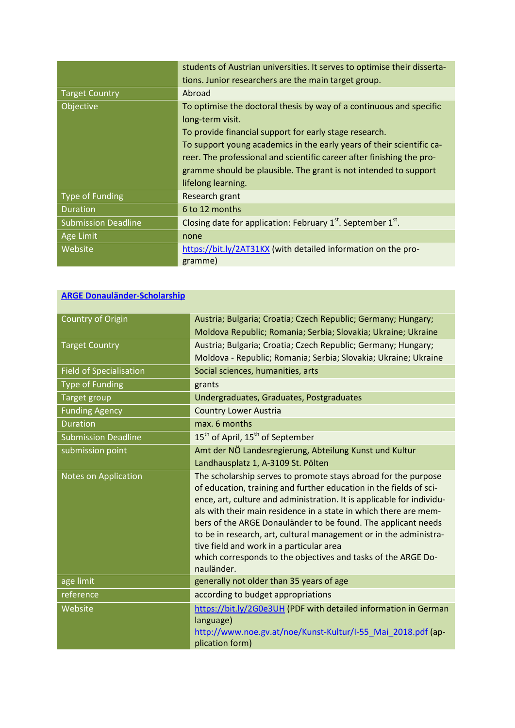|                            | students of Austrian universities. It serves to optimise their disserta- |
|----------------------------|--------------------------------------------------------------------------|
|                            | tions. Junior researchers are the main target group.                     |
| <b>Target Country</b>      | Abroad                                                                   |
| Objective                  | To optimise the doctoral thesis by way of a continuous and specific      |
|                            | long-term visit.                                                         |
|                            | To provide financial support for early stage research.                   |
|                            | To support young academics in the early years of their scientific ca-    |
|                            | reer. The professional and scientific career after finishing the pro-    |
|                            | gramme should be plausible. The grant is not intended to support         |
|                            | lifelong learning.                                                       |
| Type of Funding            | Research grant                                                           |
| <b>Duration</b>            | 6 to 12 months                                                           |
| <b>Submission Deadline</b> | Closing date for application: February $1st$ . September $1st$ .         |
| Age Limit                  | none                                                                     |
| Website                    | https://bit.ly/2AT31KX (with detailed information on the pro-            |
|                            | gramme)                                                                  |

| <b>ARGE Donauländer-Scholarship</b> |
|-------------------------------------|
|-------------------------------------|

| Country of Origin              | Austria; Bulgaria; Croatia; Czech Republic; Germany; Hungary;                                                                                                                                                                                                                                                                                                                                                                                                                                                                                      |
|--------------------------------|----------------------------------------------------------------------------------------------------------------------------------------------------------------------------------------------------------------------------------------------------------------------------------------------------------------------------------------------------------------------------------------------------------------------------------------------------------------------------------------------------------------------------------------------------|
|                                | Moldova Republic; Romania; Serbia; Slovakia; Ukraine; Ukraine                                                                                                                                                                                                                                                                                                                                                                                                                                                                                      |
| <b>Target Country</b>          | Austria; Bulgaria; Croatia; Czech Republic; Germany; Hungary;                                                                                                                                                                                                                                                                                                                                                                                                                                                                                      |
|                                | Moldova - Republic; Romania; Serbia; Slovakia; Ukraine; Ukraine                                                                                                                                                                                                                                                                                                                                                                                                                                                                                    |
| <b>Field of Specialisation</b> | Social sciences, humanities, arts                                                                                                                                                                                                                                                                                                                                                                                                                                                                                                                  |
| <b>Type of Funding</b>         | grants                                                                                                                                                                                                                                                                                                                                                                                                                                                                                                                                             |
| Target group                   | Undergraduates, Graduates, Postgraduates                                                                                                                                                                                                                                                                                                                                                                                                                                                                                                           |
| <b>Funding Agency</b>          | <b>Country Lower Austria</b>                                                                                                                                                                                                                                                                                                                                                                                                                                                                                                                       |
| <b>Duration</b>                | max. 6 months                                                                                                                                                                                                                                                                                                                                                                                                                                                                                                                                      |
| <b>Submission Deadline</b>     | 15 <sup>th</sup> of April, 15 <sup>th</sup> of September                                                                                                                                                                                                                                                                                                                                                                                                                                                                                           |
| submission point               | Amt der NÖ Landesregierung, Abteilung Kunst und Kultur                                                                                                                                                                                                                                                                                                                                                                                                                                                                                             |
|                                | Landhausplatz 1, A-3109 St. Pölten                                                                                                                                                                                                                                                                                                                                                                                                                                                                                                                 |
| <b>Notes on Application</b>    | The scholarship serves to promote stays abroad for the purpose<br>of education, training and further education in the fields of sci-<br>ence, art, culture and administration. It is applicable for individu-<br>als with their main residence in a state in which there are mem-<br>bers of the ARGE Donauländer to be found. The applicant needs<br>to be in research, art, cultural management or in the administra-<br>tive field and work in a particular area<br>which corresponds to the objectives and tasks of the ARGE Do-<br>nauländer. |
| age limit                      | generally not older than 35 years of age                                                                                                                                                                                                                                                                                                                                                                                                                                                                                                           |
| reference                      | according to budget appropriations                                                                                                                                                                                                                                                                                                                                                                                                                                                                                                                 |
| Website                        | https://bit.ly/2G0e3UH (PDF with detailed information in German<br>language)<br>http://www.noe.gv.at/noe/Kunst-Kultur/I-55 Mai 2018.pdf (ap-<br>plication form)                                                                                                                                                                                                                                                                                                                                                                                    |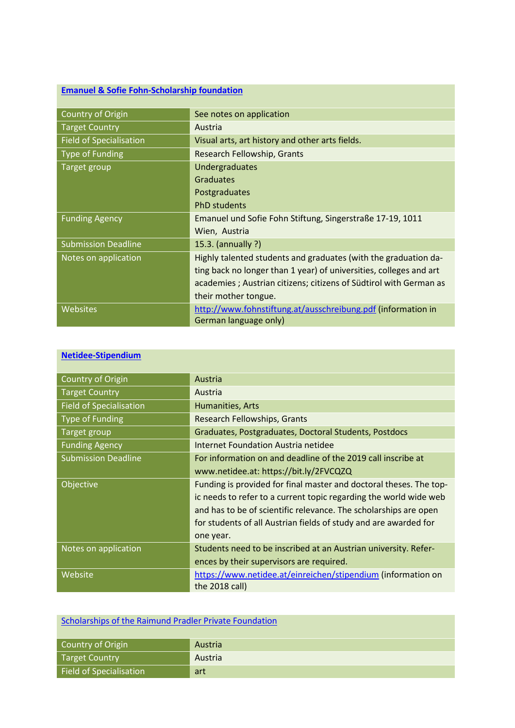## **[Emanuel & Sofie Fohn-Scholarship foundation](https://grants.at/en/?=MjI0NzlfMjM3MTVfMzQ=)**

| Country of Origin              | See notes on application                                           |
|--------------------------------|--------------------------------------------------------------------|
| <b>Target Country</b>          | Austria                                                            |
| <b>Field of Specialisation</b> | Visual arts, art history and other arts fields.                    |
| Type of Funding                | Research Fellowship, Grants                                        |
| Target group                   | <b>Undergraduates</b>                                              |
|                                | <b>Graduates</b>                                                   |
|                                | Postgraduates                                                      |
|                                | <b>PhD</b> students                                                |
| <b>Funding Agency</b>          | Emanuel und Sofie Fohn Stiftung, Singerstraße 17-19, 1011          |
|                                | Wien, Austria                                                      |
| <b>Submission Deadline</b>     | 15.3. (annually ?)                                                 |
| Notes on application           | Highly talented students and graduates (with the graduation da-    |
|                                | ting back no longer than 1 year) of universities, colleges and art |
|                                | academies; Austrian citizens; citizens of Südtirol with German as  |
|                                | their mother tongue.                                               |
| Websites                       | http://www.fohnstiftung.at/ausschreibung.pdf (information in       |
|                                | German language only)                                              |

### **[Netidee-Stipendium](https://grants.at/en/?=MjMyNDlfMjQ1MjdfNDg=)**

| Country of Origin              | Austria                                                            |
|--------------------------------|--------------------------------------------------------------------|
| <b>Target Country</b>          | Austria                                                            |
| <b>Field of Specialisation</b> | Humanities, Arts                                                   |
| <b>Type of Funding</b>         | Research Fellowships, Grants                                       |
| Target group                   | Graduates, Postgraduates, Doctoral Students, Postdocs              |
| <b>Funding Agency</b>          | Internet Foundation Austria netidee                                |
| <b>Submission Deadline</b>     | For information on and deadline of the 2019 call inscribe at       |
|                                | www.netidee.at: https://bit.ly/2FVCQZQ                             |
| Objective                      | Funding is provided for final master and doctoral theses. The top- |
|                                | ic needs to refer to a current topic regarding the world wide web  |
|                                | and has to be of scientific relevance. The scholarships are open   |
|                                | for students of all Austrian fields of study and are awarded for   |
|                                | one year.                                                          |
| Notes on application           | Students need to be inscribed at an Austrian university. Refer-    |
|                                | ences by their supervisors are required.                           |
| Website                        | https://www.netidee.at/einreichen/stipendium (information on       |
|                                | the $2018$ call)                                                   |

| Scholarships of the Raimund Pradler Private Foundation |         |
|--------------------------------------------------------|---------|
| Country of Origin                                      | Austria |
| Target Country                                         | Austria |
| Field of Specialisation                                | art     |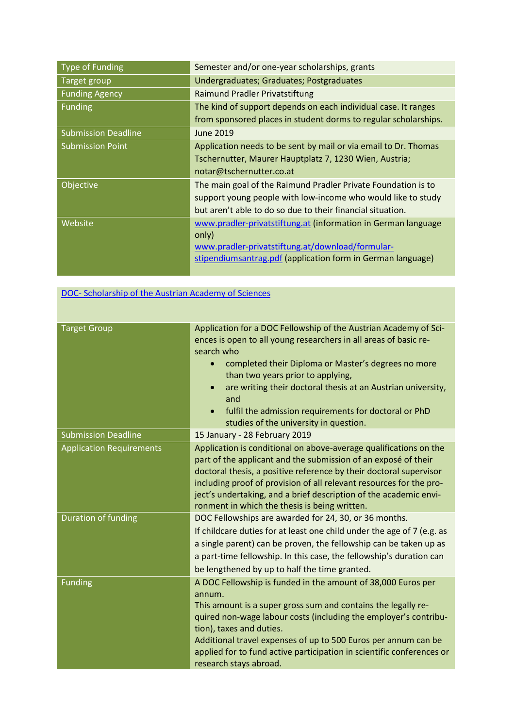| <b>Type of Funding</b>     | Semester and/or one-year scholarships, grants                   |
|----------------------------|-----------------------------------------------------------------|
| Target group               | Undergraduates; Graduates; Postgraduates                        |
| <b>Funding Agency</b>      | <b>Raimund Pradler Privatstiftung</b>                           |
| <b>Funding</b>             | The kind of support depends on each individual case. It ranges  |
|                            | from sponsored places in student dorms to regular scholarships. |
| <b>Submission Deadline</b> | June 2019                                                       |
| <b>Submission Point</b>    | Application needs to be sent by mail or via email to Dr. Thomas |
|                            | Tschernutter, Maurer Hauptplatz 7, 1230 Wien, Austria;          |
|                            | notar@tschernutter.co.at                                        |
| Objective                  | The main goal of the Raimund Pradler Private Foundation is to   |
|                            | support young people with low-income who would like to study    |
|                            | but aren't able to do so due to their financial situation.      |
| Website                    | www.pradler-privatstiftung.at (information in German language   |
|                            | only)                                                           |
|                            | www.pradler-privatstiftung.at/download/formular-                |
|                            | stipendiumsantrag.pdf (application form in German language)     |
|                            |                                                                 |

## DOC- Scholarship of the Austrian Academy of Sciences

| <b>Target Group</b>             | Application for a DOC Fellowship of the Austrian Academy of Sci-<br>ences is open to all young researchers in all areas of basic re-<br>search who<br>completed their Diploma or Master's degrees no more<br>$\bullet$<br>than two years prior to applying,<br>are writing their doctoral thesis at an Austrian university,<br>$\bullet$<br>and<br>fulfil the admission requirements for doctoral or PhD<br>$\bullet$<br>studies of the university in question. |
|---------------------------------|-----------------------------------------------------------------------------------------------------------------------------------------------------------------------------------------------------------------------------------------------------------------------------------------------------------------------------------------------------------------------------------------------------------------------------------------------------------------|
| <b>Submission Deadline</b>      | 15 January - 28 February 2019                                                                                                                                                                                                                                                                                                                                                                                                                                   |
| <b>Application Requirements</b> | Application is conditional on above-average qualifications on the<br>part of the applicant and the submission of an exposé of their<br>doctoral thesis, a positive reference by their doctoral supervisor<br>including proof of provision of all relevant resources for the pro-<br>ject's undertaking, and a brief description of the academic envi-<br>ronment in which the thesis is being written.                                                          |
| Duration of funding             | DOC Fellowships are awarded for 24, 30, or 36 months.<br>If childcare duties for at least one child under the age of 7 (e.g. as<br>a single parent) can be proven, the fellowship can be taken up as<br>a part-time fellowship. In this case, the fellowship's duration can<br>be lengthened by up to half the time granted.                                                                                                                                    |
| <b>Funding</b>                  | A DOC Fellowship is funded in the amount of 38,000 Euros per<br>annum.<br>This amount is a super gross sum and contains the legally re-<br>quired non-wage labour costs (including the employer's contribu-<br>tion), taxes and duties.<br>Additional travel expenses of up to 500 Euros per annum can be<br>applied for to fund active participation in scientific conferences or<br>research stays abroad.                                                    |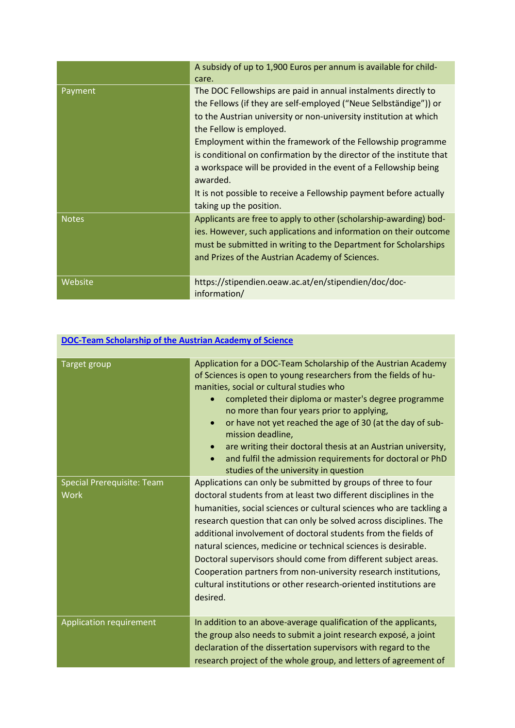|              | A subsidy of up to 1,900 Euros per annum is available for child-<br>care.                                                                                                                                                                                                                                                                                                                                                                                                                                                                                 |
|--------------|-----------------------------------------------------------------------------------------------------------------------------------------------------------------------------------------------------------------------------------------------------------------------------------------------------------------------------------------------------------------------------------------------------------------------------------------------------------------------------------------------------------------------------------------------------------|
| Payment      | The DOC Fellowships are paid in annual instalments directly to<br>the Fellows (if they are self-employed ("Neue Selbständige")) or<br>to the Austrian university or non-university institution at which<br>the Fellow is employed.<br>Employment within the framework of the Fellowship programme<br>is conditional on confirmation by the director of the institute that<br>a workspace will be provided in the event of a Fellowship being<br>awarded.<br>It is not possible to receive a Fellowship payment before actually<br>taking up the position. |
| <b>Notes</b> | Applicants are free to apply to other (scholarship-awarding) bod-<br>ies. However, such applications and information on their outcome<br>must be submitted in writing to the Department for Scholarships<br>and Prizes of the Austrian Academy of Sciences.                                                                                                                                                                                                                                                                                               |
| Website      | https://stipendien.oeaw.ac.at/en/stipendien/doc/doc-<br>information/                                                                                                                                                                                                                                                                                                                                                                                                                                                                                      |

| <b>DOC-Team Scholarship of the Austrian Academy of Science</b> |                                                                                                                                                                                                                                                                                                                                                                                                                                                                                                                                                                                                                                         |
|----------------------------------------------------------------|-----------------------------------------------------------------------------------------------------------------------------------------------------------------------------------------------------------------------------------------------------------------------------------------------------------------------------------------------------------------------------------------------------------------------------------------------------------------------------------------------------------------------------------------------------------------------------------------------------------------------------------------|
| <b>Target group</b>                                            | Application for a DOC-Team Scholarship of the Austrian Academy<br>of Sciences is open to young researchers from the fields of hu-<br>manities, social or cultural studies who<br>completed their diploma or master's degree programme<br>no more than four years prior to applying,<br>or have not yet reached the age of 30 (at the day of sub-<br>$\bullet$<br>mission deadline,<br>are writing their doctoral thesis at an Austrian university,<br>$\bullet$<br>and fulfil the admission requirements for doctoral or PhD<br>$\bullet$<br>studies of the university in question                                                      |
| <b>Special Prerequisite: Team</b><br><b>Work</b>               | Applications can only be submitted by groups of three to four<br>doctoral students from at least two different disciplines in the<br>humanities, social sciences or cultural sciences who are tackling a<br>research question that can only be solved across disciplines. The<br>additional involvement of doctoral students from the fields of<br>natural sciences, medicine or technical sciences is desirable.<br>Doctoral supervisors should come from different subject areas.<br>Cooperation partners from non-university research institutions,<br>cultural institutions or other research-oriented institutions are<br>desired. |
| Application requirement                                        | In addition to an above-average qualification of the applicants,<br>the group also needs to submit a joint research exposé, a joint<br>declaration of the dissertation supervisors with regard to the<br>research project of the whole group, and letters of agreement of                                                                                                                                                                                                                                                                                                                                                               |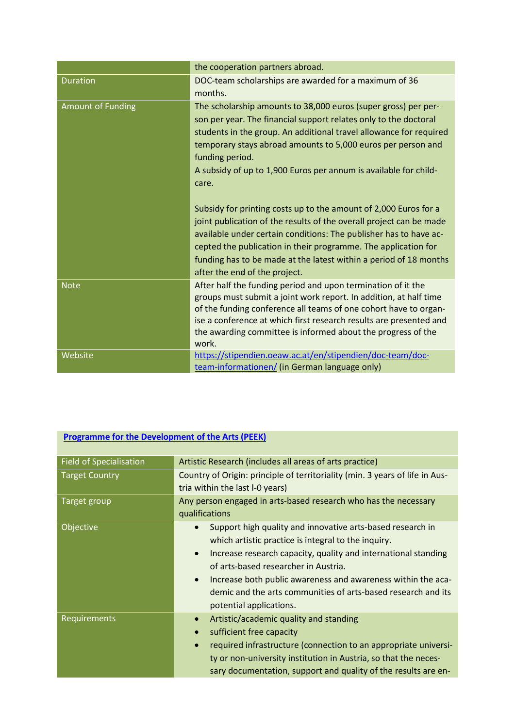|                          | the cooperation partners abroad.                                                                                                                                                                                                                                                                                                                                                                                                                                                                                                                                                                                                                                                                                                                                 |
|--------------------------|------------------------------------------------------------------------------------------------------------------------------------------------------------------------------------------------------------------------------------------------------------------------------------------------------------------------------------------------------------------------------------------------------------------------------------------------------------------------------------------------------------------------------------------------------------------------------------------------------------------------------------------------------------------------------------------------------------------------------------------------------------------|
| <b>Duration</b>          | DOC-team scholarships are awarded for a maximum of 36<br>months.                                                                                                                                                                                                                                                                                                                                                                                                                                                                                                                                                                                                                                                                                                 |
| <b>Amount of Funding</b> | The scholarship amounts to 38,000 euros (super gross) per per-<br>son per year. The financial support relates only to the doctoral<br>students in the group. An additional travel allowance for required<br>temporary stays abroad amounts to 5,000 euros per person and<br>funding period.<br>A subsidy of up to 1,900 Euros per annum is available for child-<br>care.<br>Subsidy for printing costs up to the amount of 2,000 Euros for a<br>joint publication of the results of the overall project can be made<br>available under certain conditions: The publisher has to have ac-<br>cepted the publication in their programme. The application for<br>funding has to be made at the latest within a period of 18 months<br>after the end of the project. |
| <b>Note</b>              | After half the funding period and upon termination of it the<br>groups must submit a joint work report. In addition, at half time<br>of the funding conference all teams of one cohort have to organ-<br>ise a conference at which first research results are presented and<br>the awarding committee is informed about the progress of the<br>work.                                                                                                                                                                                                                                                                                                                                                                                                             |
| Website                  | https://stipendien.oeaw.ac.at/en/stipendien/doc-team/doc-<br>team-informationen/ (in German language only)                                                                                                                                                                                                                                                                                                                                                                                                                                                                                                                                                                                                                                                       |

| <b>Field of Specialisation</b> | Artistic Research (includes all areas of arts practice)                                                                                                                                                                                                                                                                                                                                                                        |
|--------------------------------|--------------------------------------------------------------------------------------------------------------------------------------------------------------------------------------------------------------------------------------------------------------------------------------------------------------------------------------------------------------------------------------------------------------------------------|
| <b>Target Country</b>          | Country of Origin: principle of territoriality (min. 3 years of life in Aus-<br>tria within the last I-0 years)                                                                                                                                                                                                                                                                                                                |
| Target group                   | Any person engaged in arts-based research who has the necessary<br>qualifications                                                                                                                                                                                                                                                                                                                                              |
| Objective                      | Support high quality and innovative arts-based research in<br>$\bullet$<br>which artistic practice is integral to the inquiry.<br>Increase research capacity, quality and international standing<br>$\bullet$<br>of arts-based researcher in Austria.<br>Increase both public awareness and awareness within the aca-<br>$\bullet$<br>demic and the arts communities of arts-based research and its<br>potential applications. |
| Requirements                   | Artistic/academic quality and standing<br>$\bullet$<br>sufficient free capacity<br>required infrastructure (connection to an appropriate universi-<br>$\bullet$<br>ty or non-university institution in Austria, so that the neces-<br>sary documentation, support and quality of the results are en-                                                                                                                           |

#### **[Programme for the Development of the Arts](https://www.fwf.ac.at/en/research-funding/fwf-programmes/peek/) (PEEK)**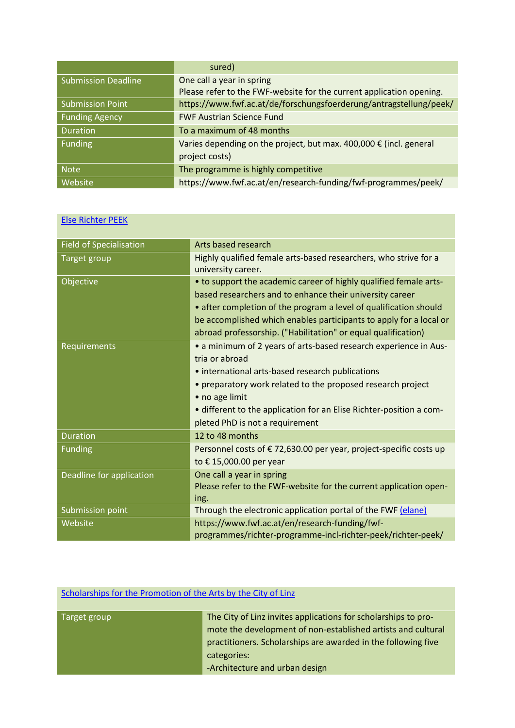|                            | sured)                                                                 |
|----------------------------|------------------------------------------------------------------------|
| <b>Submission Deadline</b> | One call a year in spring                                              |
|                            | Please refer to the FWF-website for the current application opening.   |
| <b>Submission Point</b>    | https://www.fwf.ac.at/de/forschungsfoerderung/antragstellung/peek/     |
| <b>Funding Agency</b>      | <b>FWF Austrian Science Fund</b>                                       |
| <b>Duration</b>            | To a maximum of 48 months                                              |
| <b>Funding</b>             | Varies depending on the project, but max. $400,000 \in$ (incl. general |
|                            | project costs)                                                         |
| <b>Note</b>                | The programme is highly competitive                                    |
| Website                    | https://www.fwf.ac.at/en/research-funding/fwf-programmes/peek/         |

| <b>Else Richter PEEK</b>       |                                                                                                                                                                                                                                                                                                                                           |
|--------------------------------|-------------------------------------------------------------------------------------------------------------------------------------------------------------------------------------------------------------------------------------------------------------------------------------------------------------------------------------------|
| <b>Field of Specialisation</b> | Arts based research                                                                                                                                                                                                                                                                                                                       |
| Target group                   | Highly qualified female arts-based researchers, who strive for a<br>university career.                                                                                                                                                                                                                                                    |
| Objective                      | • to support the academic career of highly qualified female arts-<br>based researchers and to enhance their university career<br>• after completion of the program a level of qualification should<br>be accomplished which enables participants to apply for a local or<br>abroad professorship. ("Habilitation" or equal qualification) |
| Requirements                   | • a minimum of 2 years of arts-based research experience in Aus-<br>tria or abroad<br>• international arts-based research publications<br>• preparatory work related to the proposed research project<br>• no age limit<br>• different to the application for an Elise Richter-position a com-<br>pleted PhD is not a requirement         |
| <b>Duration</b>                | 12 to 48 months                                                                                                                                                                                                                                                                                                                           |
| <b>Funding</b>                 | Personnel costs of €72,630.00 per year, project-specific costs up<br>to €15,000.00 per year                                                                                                                                                                                                                                               |
| Deadline for application       | One call a year in spring<br>Please refer to the FWF-website for the current application open-<br>ing.                                                                                                                                                                                                                                    |
| Submission point               | Through the electronic application portal of the FWF (elane)                                                                                                                                                                                                                                                                              |
| Website                        | https://www.fwf.ac.at/en/research-funding/fwf-<br>programmes/richter-programme-incl-richter-peek/richter-peek/                                                                                                                                                                                                                            |

## [Scholarships for the Promotion of the Arts by the City of](https://www.linz.at/english/culture/6013.asp) Linz

| The City of Linz invites applications for scholarships to pro- |
|----------------------------------------------------------------|
| mote the development of non-established artists and cultural   |
| practitioners. Scholarships are awarded in the following five  |
| categories:                                                    |
| -Architecture and urban design                                 |
|                                                                |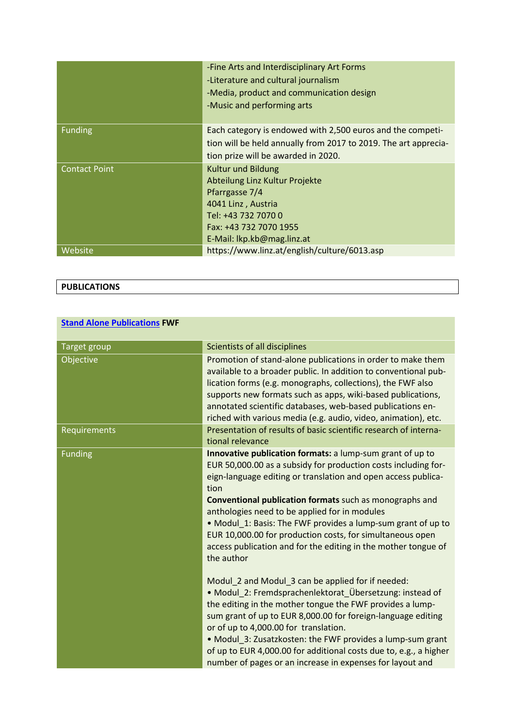|                      | -Fine Arts and Interdisciplinary Art Forms<br>-Literature and cultural journalism<br>-Media, product and communication design<br>-Music and performing arts                        |
|----------------------|------------------------------------------------------------------------------------------------------------------------------------------------------------------------------------|
| <b>Funding</b>       | Each category is endowed with 2,500 euros and the competi-<br>tion will be held annually from 2017 to 2019. The art apprecia-<br>tion prize will be awarded in 2020.               |
| <b>Contact Point</b> | <b>Kultur und Bildung</b><br>Abteilung Linz Kultur Projekte<br>Pfarrgasse 7/4<br>4041 Linz, Austria<br>Tel: +43 732 7070 0<br>Fax: +43 732 7070 1955<br>E-Mail: lkp.kb@mag.linz.at |
| Website              | https://www.linz.at/english/culture/6013.asp                                                                                                                                       |

## **PUBLICATIONS**

## **[Stand Alone Publications](https://www.fwf.ac.at/en/research-funding/fwf-programmes/stand-alone-publications/) FWF**

| <b>Target group</b> | Scientists of all disciplines                                                                                                                                                                                                                                                                                                                                                                                                                                                                                                        |
|---------------------|--------------------------------------------------------------------------------------------------------------------------------------------------------------------------------------------------------------------------------------------------------------------------------------------------------------------------------------------------------------------------------------------------------------------------------------------------------------------------------------------------------------------------------------|
| Objective           | Promotion of stand-alone publications in order to make them<br>available to a broader public. In addition to conventional pub-<br>lication forms (e.g. monographs, collections), the FWF also<br>supports new formats such as apps, wiki-based publications,<br>annotated scientific databases, web-based publications en-<br>riched with various media (e.g. audio, video, animation), etc.                                                                                                                                         |
| <b>Requirements</b> | Presentation of results of basic scientific research of interna-<br>tional relevance                                                                                                                                                                                                                                                                                                                                                                                                                                                 |
| <b>Funding</b>      | Innovative publication formats: a lump-sum grant of up to<br>EUR 50,000.00 as a subsidy for production costs including for-<br>eign-language editing or translation and open access publica-<br>tion<br><b>Conventional publication formats</b> such as monographs and<br>anthologies need to be applied for in modules<br>• Modul 1: Basis: The FWF provides a lump-sum grant of up to<br>EUR 10,000.00 for production costs, for simultaneous open<br>access publication and for the editing in the mother tongue of<br>the author |
|                     | Modul 2 and Modul 3 can be applied for if needed:<br>· Modul_2: Fremdsprachenlektorat_Übersetzung: instead of<br>the editing in the mother tongue the FWF provides a lump-<br>sum grant of up to EUR 8,000.00 for foreign-language editing<br>or of up to 4,000.00 for translation.<br>• Modul 3: Zusatzkosten: the FWF provides a lump-sum grant<br>of up to EUR 4,000.00 for additional costs due to, e.g., a higher<br>number of pages or an increase in expenses for layout and                                                  |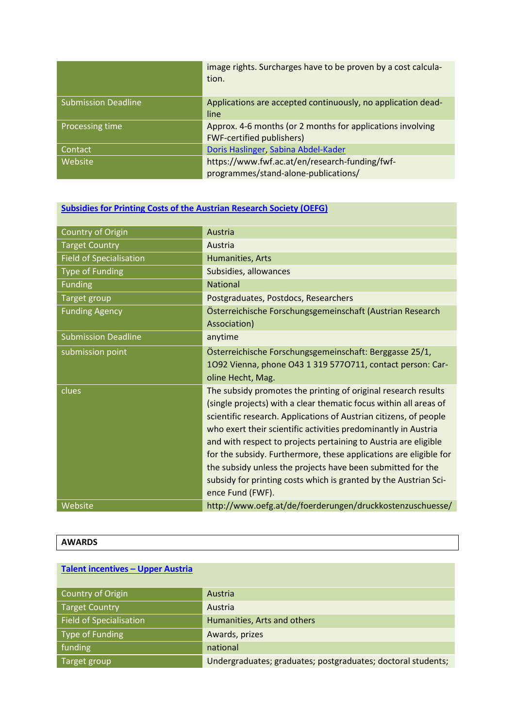|                            | image rights. Surcharges have to be proven by a cost calcula-<br>tion.                         |
|----------------------------|------------------------------------------------------------------------------------------------|
| <b>Submission Deadline</b> | Applications are accepted continuously, no application dead-<br>line                           |
| Processing time            | Approx. 4-6 months (or 2 months for applications involving<br><b>FWF-certified publishers)</b> |
| Contact                    | Doris Haslinger, Sabina Abdel-Kader                                                            |
| Website                    | https://www.fwf.ac.at/en/research-funding/fwf-<br>programmes/stand-alone-publications/         |

## **[Subsidies for Printing Costs of the Austrian Research Society \(OEFG\)](https://grants.at/en/?=MTc4MjFfMTg4NjZfMzc=)**

| Country of Origin              | Austria                                                                                                                                                                                                                                                                                                                                                                                                                                                                                                                                                                   |
|--------------------------------|---------------------------------------------------------------------------------------------------------------------------------------------------------------------------------------------------------------------------------------------------------------------------------------------------------------------------------------------------------------------------------------------------------------------------------------------------------------------------------------------------------------------------------------------------------------------------|
| <b>Target Country</b>          | Austria                                                                                                                                                                                                                                                                                                                                                                                                                                                                                                                                                                   |
| <b>Field of Specialisation</b> | Humanities, Arts                                                                                                                                                                                                                                                                                                                                                                                                                                                                                                                                                          |
| <b>Type of Funding</b>         | Subsidies, allowances                                                                                                                                                                                                                                                                                                                                                                                                                                                                                                                                                     |
| <b>Funding</b>                 | <b>National</b>                                                                                                                                                                                                                                                                                                                                                                                                                                                                                                                                                           |
| <b>Target group</b>            | Postgraduates, Postdocs, Researchers                                                                                                                                                                                                                                                                                                                                                                                                                                                                                                                                      |
| <b>Funding Agency</b>          | Österreichische Forschungsgemeinschaft (Austrian Research<br>Association)                                                                                                                                                                                                                                                                                                                                                                                                                                                                                                 |
| <b>Submission Deadline</b>     | anytime                                                                                                                                                                                                                                                                                                                                                                                                                                                                                                                                                                   |
| submission point               | Österreichische Forschungsgemeinschaft: Berggasse 25/1,<br>1092 Vienna, phone 043 1 319 5770711, contact person: Car-<br>oline Hecht, Mag.                                                                                                                                                                                                                                                                                                                                                                                                                                |
| clues                          | The subsidy promotes the printing of original research results<br>(single projects) with a clear thematic focus within all areas of<br>scientific research. Applications of Austrian citizens, of people<br>who exert their scientific activities predominantly in Austria<br>and with respect to projects pertaining to Austria are eligible<br>for the subsidy. Furthermore, these applications are eligible for<br>the subsidy unless the projects have been submitted for the<br>subsidy for printing costs which is granted by the Austrian Sci-<br>ence Fund (FWF). |
| Website                        | http://www.oefg.at/de/foerderungen/druckkostenzuschuesse/                                                                                                                                                                                                                                                                                                                                                                                                                                                                                                                 |

| <b>Talent incentives - Upper Austria</b> |                                                              |
|------------------------------------------|--------------------------------------------------------------|
| Country of Origin                        | Austria                                                      |
| <b>Target Country</b>                    | Austria                                                      |
| <b>Field of Specialisation</b>           | Humanities, Arts and others                                  |
| Type of Funding                          | Awards, prizes                                               |
| funding                                  | national                                                     |
| Target group                             | Undergraduates; graduates; postgraduates; doctoral students; |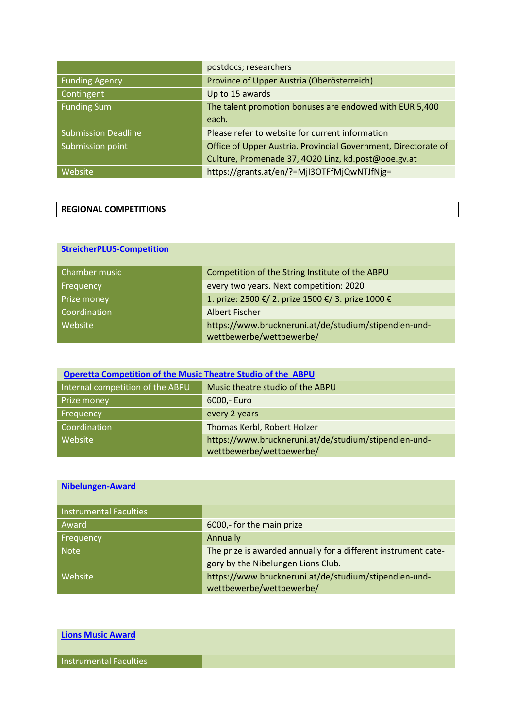|                            | postdocs; researchers                                          |
|----------------------------|----------------------------------------------------------------|
| <b>Funding Agency</b>      | Province of Upper Austria (Oberösterreich)                     |
| Contingent                 | Up to 15 awards                                                |
| <b>Funding Sum</b>         | The talent promotion bonuses are endowed with EUR 5,400        |
|                            | each.                                                          |
| <b>Submission Deadline</b> | Please refer to website for current information                |
| Submission point           | Office of Upper Austria. Provincial Government, Directorate of |
|                            | Culture, Promenade 37, 4020 Linz, kd.post@ooe.gv.at            |
| Website                    | https://grants.at/en/?=MjI3OTFfMjQwNTJfNjg=                    |

| <b>REGIONAL COMPETITIONS</b> |
|------------------------------|
|------------------------------|

### **[StreicherPLUS-Competition](https://www.bruckneruni.at/de/studium/stipendien-und-wettbewerbe/wettbewerbe/)**

| Chamber music | Competition of the String Institute of the ABPU                                   |
|---------------|-----------------------------------------------------------------------------------|
| Frequency     | every two years. Next competition: 2020                                           |
| Prize money   | 1. prize: 2500 €/ 2. prize 1500 €/ 3. prize 1000 €                                |
| Coordination  | Albert Fischer                                                                    |
| Website       | https://www.bruckneruni.at/de/studium/stipendien-und-<br>wettbewerbe/wettbewerbe/ |

| <b>Operetta Competition of the Music Theatre Studio of the ABPU</b> |                                                       |
|---------------------------------------------------------------------|-------------------------------------------------------|
| Internal competition of the ABPU                                    | Music theatre studio of the ABPU                      |
| Prize money                                                         | 6000,- Euro                                           |
| Frequency                                                           | every 2 years                                         |
| Coordination                                                        | Thomas Kerbl, Robert Holzer                           |
| Website                                                             | https://www.bruckneruni.at/de/studium/stipendien-und- |
|                                                                     | wettbewerbe/wettbewerbe/                              |

### **[Nibelungen-Award](https://www.bruckneruni.at/de/studium/stipendien-und-wettbewerbe/wettbewerbe/)**

| <b>Instrumental Faculties</b> |                                                                |
|-------------------------------|----------------------------------------------------------------|
| Award                         | 6000,- for the main prize                                      |
| Frequency                     | Annually                                                       |
| <b>Note</b>                   | The prize is awarded annually for a different instrument cate- |
|                               | gory by the Nibelungen Lions Club.                             |
| Website                       | https://www.bruckneruni.at/de/studium/stipendien-und-          |
|                               | wettbewerbe/wettbewerbe/                                       |

| <b>Lions Music Award</b> |  |
|--------------------------|--|
| Instrumental Faculties   |  |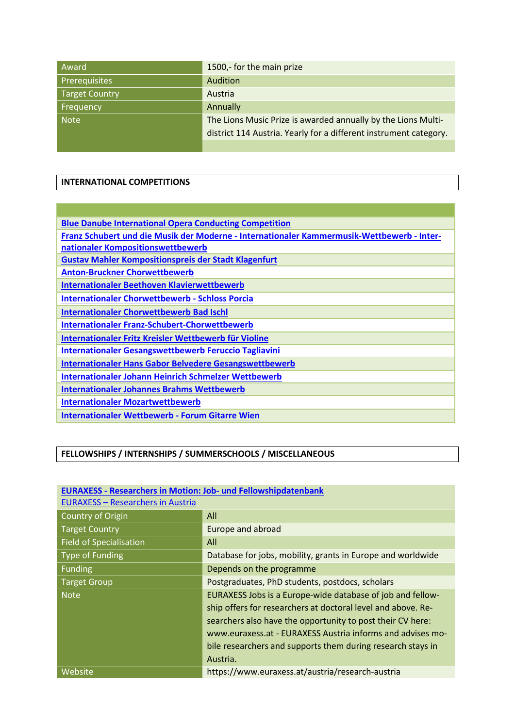| Award          | 1500,- for the main prize                                                                                                          |
|----------------|------------------------------------------------------------------------------------------------------------------------------------|
| Prerequisites  | Audition                                                                                                                           |
| Target Country | Austria                                                                                                                            |
| Frequency      | Annually                                                                                                                           |
| <b>Note</b>    | The Lions Music Prize is awarded annually by the Lions Multi-<br>district 114 Austria. Yearly for a different instrument category. |
|                |                                                                                                                                    |

#### **INTERNATIONAL COMPETITIONS**

| <b>Blue Danube International Opera Conducting Competition</b>                              |  |
|--------------------------------------------------------------------------------------------|--|
| Franz Schubert und die Musik der Moderne - Internationaler Kammermusik-Wettbewerb - Inter- |  |
| nationaler Kompositionswettbewerb                                                          |  |
| <b>Gustav Mahler Kompositionspreis der Stadt Klagenfurt</b>                                |  |
| <b>Anton-Bruckner Chorwettbewerb</b>                                                       |  |
| <b>Internationaler Beethoven Klavierwettbewerb</b>                                         |  |
| <b>Internationaler Chorwettbewerb - Schloss Porcia</b>                                     |  |
| <b>Internationaler Chorwettbewerb Bad Ischl</b>                                            |  |
| <b>Internationaler Franz-Schubert-Chorwettbewerb</b>                                       |  |
| Internationaler Fritz Kreisler Wettbewerb für Violine                                      |  |
| <b>Internationaler Gesangswettbewerb Feruccio Tagliavini</b>                               |  |
| <b>Internationaler Hans Gabor Belvedere Gesangswettbewerb</b>                              |  |
| <b>Internationaler Johann Heinrich Schmelzer Wettbewerb</b>                                |  |
| <b>Internationaler Johannes Brahms Wettbewerb</b>                                          |  |
| <b>Internationaler Mozartwettbewerb</b>                                                    |  |
| <b>Internationaler Wettbewerb - Forum Gitarre Wien</b>                                     |  |

### **FELLOWSHIPS / INTERNSHIPS / SUMMERSCHOOLS / MISCELLANEOUS**

| <b>EURAXESS - Researchers in Austria</b> |                                                              |
|------------------------------------------|--------------------------------------------------------------|
| Country of Origin                        | All                                                          |
| <b>Target Country</b>                    | Europe and abroad                                            |
| <b>Field of Specialisation</b>           | All                                                          |
| Type of Funding                          | Database for jobs, mobility, grants in Europe and worldwide  |
| <b>Funding</b>                           | Depends on the programme                                     |
| <b>Target Group</b>                      | Postgraduates, PhD students, postdocs, scholars              |
| <b>Note</b>                              | EURAXESS Jobs is a Europe-wide database of job and fellow-   |
|                                          | ship offers for researchers at doctoral level and above. Re- |
|                                          | searchers also have the opportunity to post their CV here:   |
|                                          | www.euraxess.at - EURAXESS Austria informs and advises mo-   |
|                                          | bile researchers and supports them during research stays in  |
|                                          | Austria.                                                     |
| Website                                  | https://www.euraxess.at/austria/research-austria             |

# **EURAXESS - [Researchers in Motion: Job-](https://euraxess.ec.europa.eu/) und Fellowshipdatenbank**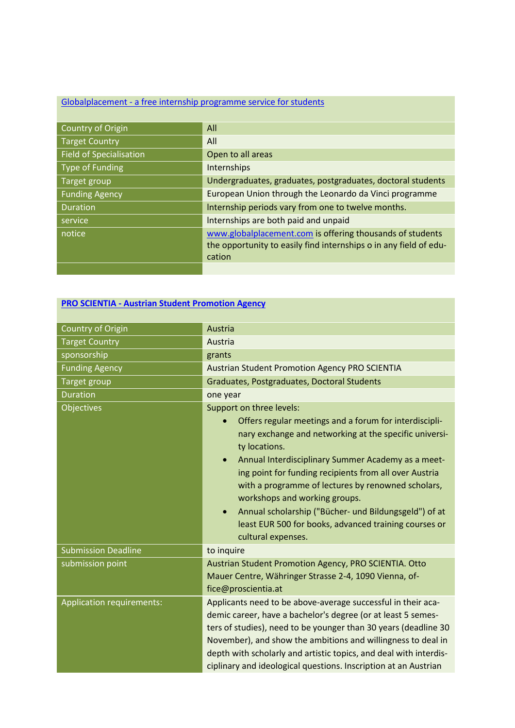# Globalplacement - [a free internship programme service for students](http://globalplacement.com/de)

| Country of Origin              | All                                                               |
|--------------------------------|-------------------------------------------------------------------|
| <b>Target Country</b>          | All                                                               |
| <b>Field of Specialisation</b> | Open to all areas                                                 |
| <b>Type of Funding</b>         | Internships                                                       |
| Target group                   | Undergraduates, graduates, postgraduates, doctoral students       |
| <b>Funding Agency</b>          | European Union through the Leonardo da Vinci programme            |
| <b>Duration</b>                | Internship periods vary from one to twelve months.                |
| service                        | Internships are both paid and unpaid                              |
| notice                         | www.globalplacement.com is offering thousands of students         |
|                                | the opportunity to easily find internships o in any field of edu- |
|                                | cation                                                            |
|                                |                                                                   |

## **PRO SCIENTIA - [Austrian Student Promotion Agency](https://www.proscientia.at/)**

| Country of Origin          | Austria                                                                                                                                                                                                                                                                                                                                                                                                                                                                                                                                |
|----------------------------|----------------------------------------------------------------------------------------------------------------------------------------------------------------------------------------------------------------------------------------------------------------------------------------------------------------------------------------------------------------------------------------------------------------------------------------------------------------------------------------------------------------------------------------|
| <b>Target Country</b>      | Austria                                                                                                                                                                                                                                                                                                                                                                                                                                                                                                                                |
| sponsorship                | grants                                                                                                                                                                                                                                                                                                                                                                                                                                                                                                                                 |
| <b>Funding Agency</b>      | <b>Austrian Student Promotion Agency PRO SCIENTIA</b>                                                                                                                                                                                                                                                                                                                                                                                                                                                                                  |
| Target group               | Graduates, Postgraduates, Doctoral Students                                                                                                                                                                                                                                                                                                                                                                                                                                                                                            |
| <b>Duration</b>            | one year                                                                                                                                                                                                                                                                                                                                                                                                                                                                                                                               |
| <b>Objectives</b>          | Support on three levels:<br>Offers regular meetings and a forum for interdiscipli-<br>nary exchange and networking at the specific universi-<br>ty locations.<br>Annual Interdisciplinary Summer Academy as a meet-<br>$\bullet$<br>ing point for funding recipients from all over Austria<br>with a programme of lectures by renowned scholars,<br>workshops and working groups.<br>Annual scholarship ("Bücher- und Bildungsgeld") of at<br>$\bullet$<br>least EUR 500 for books, advanced training courses or<br>cultural expenses. |
| <b>Submission Deadline</b> | to inquire                                                                                                                                                                                                                                                                                                                                                                                                                                                                                                                             |
| submission point           | Austrian Student Promotion Agency, PRO SCIENTIA. Otto<br>Mauer Centre, Währinger Strasse 2-4, 1090 Vienna, of-<br>fice@proscientia.at                                                                                                                                                                                                                                                                                                                                                                                                  |
| Application requirements:  | Applicants need to be above-average successful in their aca-<br>demic career, have a bachelor's degree (or at least 5 semes-<br>ters of studies), need to be younger than 30 years (deadline 30<br>November), and show the ambitions and willingness to deal in<br>depth with scholarly and artistic topics, and deal with interdis-<br>ciplinary and ideological questions. Inscription at an Austrian                                                                                                                                |